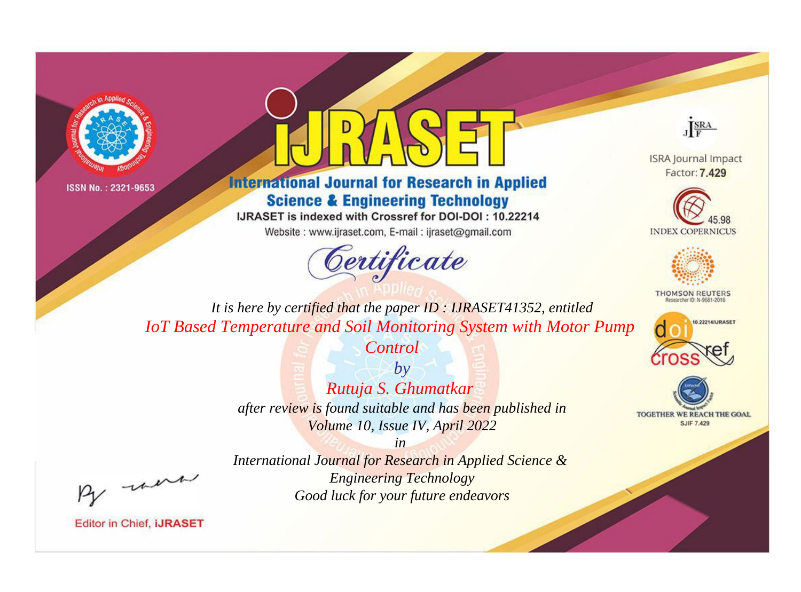



## **International Journal for Research in Applied Science & Engineering Technology**

IJRASET is indexed with Crossref for DOI-DOI: 10.22214

Website: www.ijraset.com, E-mail: ijraset@gmail.com





**ISRA Journal Impact** Factor: 7.429





**THOMSON REUTERS** 



TOGETHER WE REACH THE GOAL **SJIF 7.429** 

*It is here by certified that the paper ID : IJRASET41352, entitled IoT Based Temperature and Soil Monitoring System with Motor Pump* 

*Control*

*by Rutuja S. Ghumatkar after review is found suitable and has been published in Volume 10, Issue IV, April 2022*

, were

*International Journal for Research in Applied Science & Engineering Technology Good luck for your future endeavors*

*in*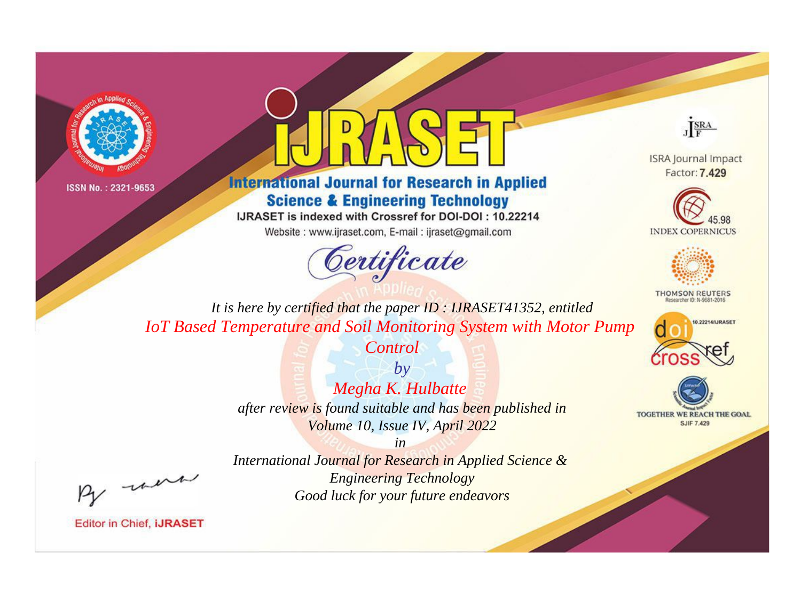



**International Journal for Research in Applied Science & Engineering Technology** 

IJRASET is indexed with Crossref for DOI-DOI: 10.22214

Website: www.ijraset.com, E-mail: ijraset@gmail.com



JERA

**ISRA Journal Impact** Factor: 7.429





**THOMSON REUTERS** 



TOGETHER WE REACH THE GOAL **SJIF 7.429** 

*It is here by certified that the paper ID : IJRASET41352, entitled IoT Based Temperature and Soil Monitoring System with Motor Pump* 

> *by Megha K. Hulbatte after review is found suitable and has been published in Volume 10, Issue IV, April 2022*

*Control*

, un

*International Journal for Research in Applied Science & Engineering Technology Good luck for your future endeavors*

*in*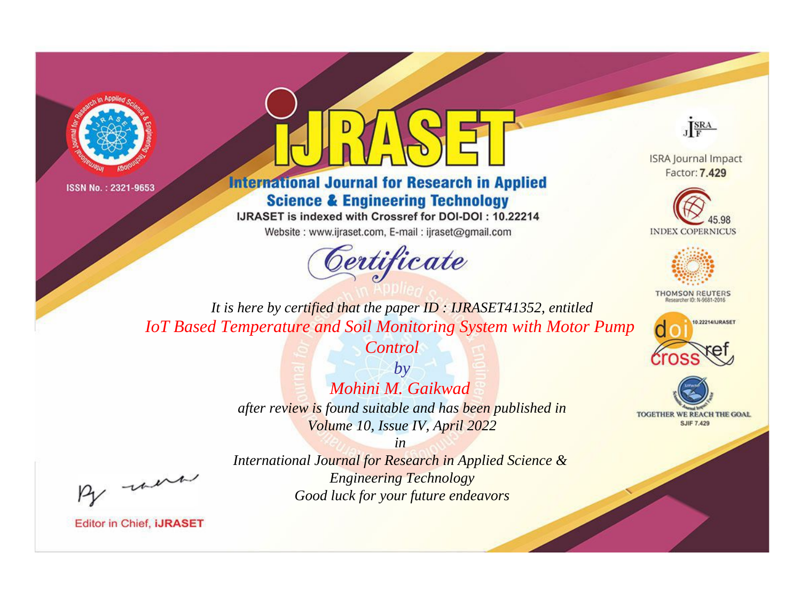



## **International Journal for Research in Applied Science & Engineering Technology**

IJRASET is indexed with Crossref for DOI-DOI: 10.22214

Website: www.ijraset.com, E-mail: ijraset@gmail.com





**ISRA Journal Impact** Factor: 7.429





**THOMSON REUTERS** 



TOGETHER WE REACH THE GOAL **SJIF 7.429** 

*It is here by certified that the paper ID : IJRASET41352, entitled IoT Based Temperature and Soil Monitoring System with Motor Pump* 

*Control*

*by Mohini M. Gaikwad after review is found suitable and has been published in Volume 10, Issue IV, April 2022*

, un

*International Journal for Research in Applied Science & Engineering Technology Good luck for your future endeavors*

*in*